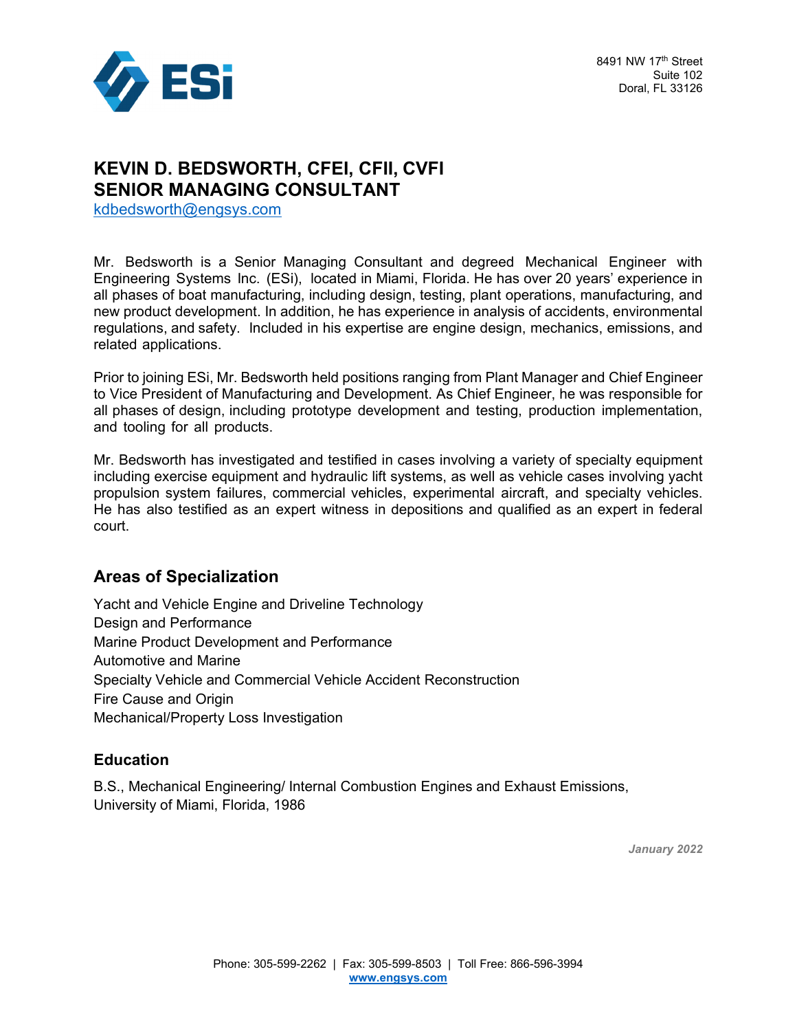

# **KEVIN D. BEDSWORTH, CFEI, CFII, CVFI SENIOR MANAGING CONSULTANT**

kdbedsworth@engsys.com

Mr. Bedsworth is a Senior Managing Consultant and degreed Mechanical Engineer with Engineering Systems Inc. (ESi), located in Miami, Florida. He has over 20 years' experience in all phases of boat manufacturing, including design, testing, plant operations, manufacturing, and new product development. In addition, he has experience in analysis of accidents, environmental regulations, and safety. Included in his expertise are engine design, mechanics, emissions, and related applications.

Prior to joining ESi, Mr. Bedsworth held positions ranging from Plant Manager and Chief Engineer to Vice President of Manufacturing and Development. As Chief Engineer, he was responsible for all phases of design, including prototype development and testing, production implementation, and tooling for all products.

Mr. Bedsworth has investigated and testified in cases involving a variety of specialty equipment including exercise equipment and hydraulic lift systems, as well as vehicle cases involving yacht propulsion system failures, commercial vehicles, experimental aircraft, and specialty vehicles. He has also testified as an expert witness in depositions and qualified as an expert in federal court.

#### **Areas of Specialization**

Yacht and Vehicle Engine and Driveline Technology Design and Performance Marine Product Development and Performance Automotive and Marine Specialty Vehicle and Commercial Vehicle Accident Reconstruction Fire Cause and Origin Mechanical/Property Loss Investigation

#### **Education**

B.S., Mechanical Engineering/ Internal Combustion Engines and Exhaust Emissions, University of Miami, Florida, 1986

*January 2022*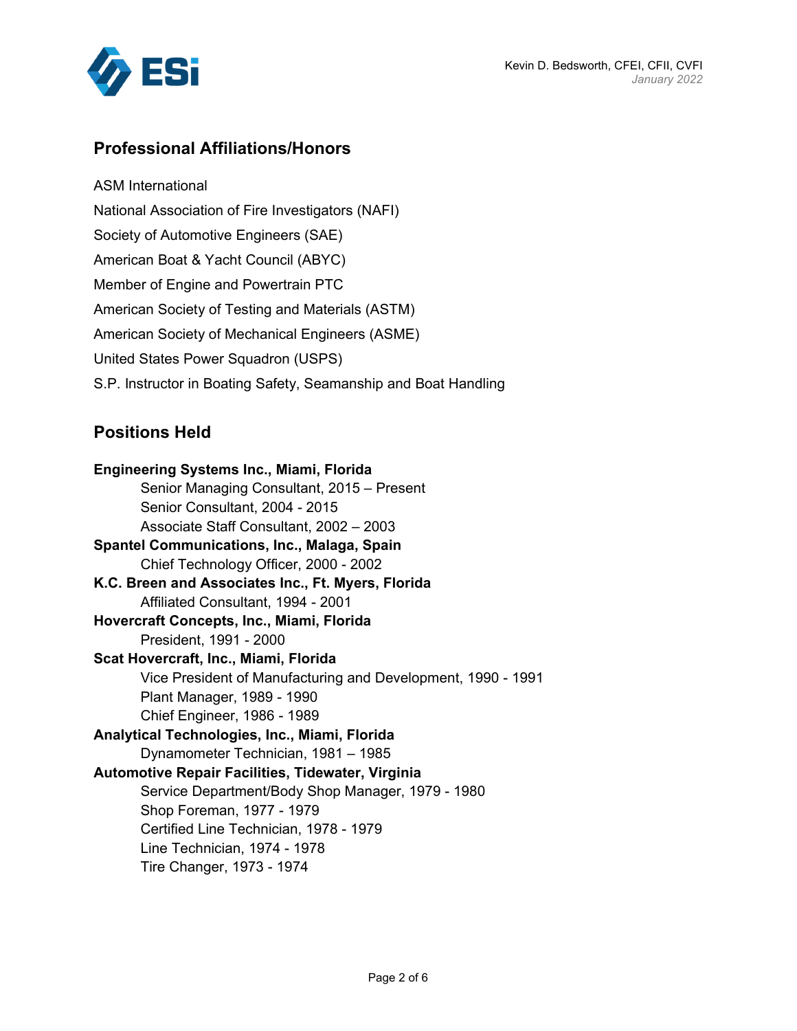

# **Professional Affiliations/Honors**

ASM International National Association of Fire Investigators (NAFI) Society of Automotive Engineers (SAE) American Boat & Yacht Council (ABYC) Member of Engine and Powertrain PTC American Society of Testing and Materials (ASTM) American Society of Mechanical Engineers (ASME) United States Power Squadron (USPS) S.P. Instructor in Boating Safety, Seamanship and Boat Handling

## **Positions Held**

**Engineering Systems Inc., Miami, Florida**  Senior Managing Consultant, 2015 – Present Senior Consultant, 2004 - 2015 Associate Staff Consultant, 2002 – 2003 **Spantel Communications, Inc., Malaga, Spain**  Chief Technology Officer, 2000 - 2002 **K.C. Breen and Associates Inc., Ft. Myers, Florida**  Affiliated Consultant, 1994 - 2001 **Hovercraft Concepts, Inc., Miami, Florida**  President, 1991 - 2000 **Scat Hovercraft, Inc., Miami, Florida**  Vice President of Manufacturing and Development, 1990 - 1991 Plant Manager, 1989 - 1990 Chief Engineer, 1986 - 1989 **Analytical Technologies, Inc., Miami, Florida**  Dynamometer Technician, 1981 – 1985 **Automotive Repair Facilities, Tidewater, Virginia**  Service Department/Body Shop Manager, 1979 - 1980 Shop Foreman, 1977 - 1979 Certified Line Technician, 1978 - 1979 Line Technician, 1974 - 1978 Tire Changer, 1973 - 1974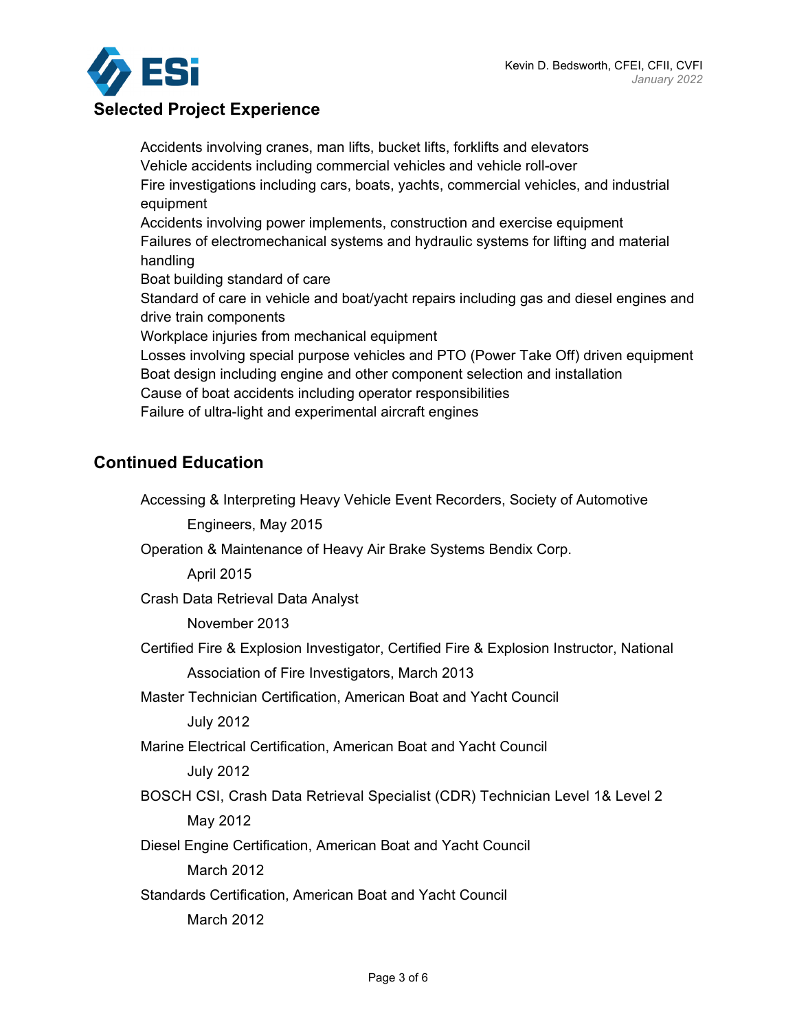

# **Selected Project Experience**

Accidents involving cranes, man lifts, bucket lifts, forklifts and elevators Vehicle accidents including commercial vehicles and vehicle roll-over Fire investigations including cars, boats, yachts, commercial vehicles, and industrial equipment Accidents involving power implements, construction and exercise equipment Failures of electromechanical systems and hydraulic systems for lifting and material handling Boat building standard of care Standard of care in vehicle and boat/yacht repairs including gas and diesel engines and drive train components Workplace injuries from mechanical equipment Losses involving special purpose vehicles and PTO (Power Take Off) driven equipment Boat design including engine and other component selection and installation Cause of boat accidents including operator responsibilities Failure of ultra-light and experimental aircraft engines

## **Continued Education**

Accessing & Interpreting Heavy Vehicle Event Recorders, Society of Automotive Engineers, May 2015 Operation & Maintenance of Heavy Air Brake Systems Bendix Corp. April 2015 Crash Data Retrieval Data Analyst November 2013 Certified Fire & Explosion Investigator, Certified Fire & Explosion Instructor, National Association of Fire Investigators, March 2013 Master Technician Certification, American Boat and Yacht Council July 2012 Marine Electrical Certification, American Boat and Yacht Council July 2012 BOSCH CSI, Crash Data Retrieval Specialist (CDR) Technician Level 1& Level 2 May 2012 Diesel Engine Certification, American Boat and Yacht Council March 2012 Standards Certification, American Boat and Yacht Council March 2012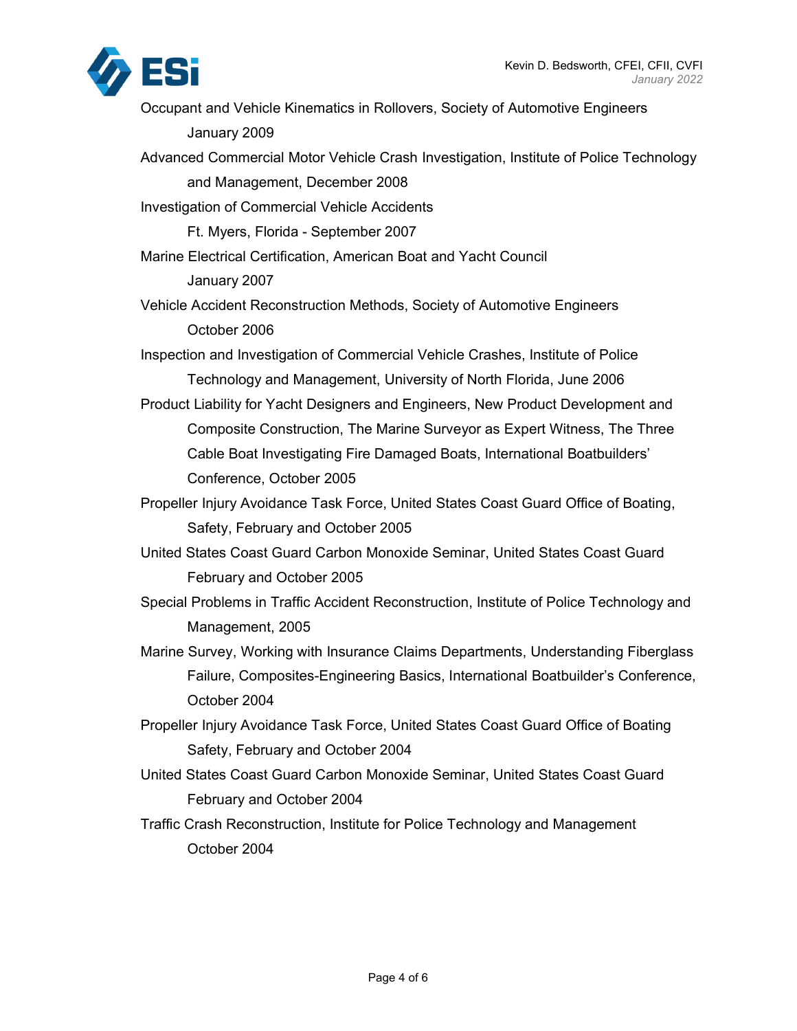

- Occupant and Vehicle Kinematics in Rollovers, Society of Automotive Engineers January 2009
- Advanced Commercial Motor Vehicle Crash Investigation, Institute of Police Technology and Management, December 2008

Investigation of Commercial Vehicle Accidents

Ft. Myers, Florida - September 2007

- Marine Electrical Certification, American Boat and Yacht Council January 2007
- Vehicle Accident Reconstruction Methods, Society of Automotive Engineers October 2006

Inspection and Investigation of Commercial Vehicle Crashes, Institute of Police Technology and Management, University of North Florida, June 2006

- Product Liability for Yacht Designers and Engineers, New Product Development and Composite Construction, The Marine Surveyor as Expert Witness, The Three Cable Boat Investigating Fire Damaged Boats, International Boatbuilders' Conference, October 2005
- Propeller Injury Avoidance Task Force, United States Coast Guard Office of Boating, Safety, February and October 2005
- United States Coast Guard Carbon Monoxide Seminar, United States Coast Guard February and October 2005
- Special Problems in Traffic Accident Reconstruction, Institute of Police Technology and Management, 2005
- Marine Survey, Working with Insurance Claims Departments, Understanding Fiberglass Failure, Composites-Engineering Basics, International Boatbuilder's Conference, October 2004
- Propeller Injury Avoidance Task Force, United States Coast Guard Office of Boating Safety, February and October 2004
- United States Coast Guard Carbon Monoxide Seminar, United States Coast Guard February and October 2004
- Traffic Crash Reconstruction, Institute for Police Technology and Management October 2004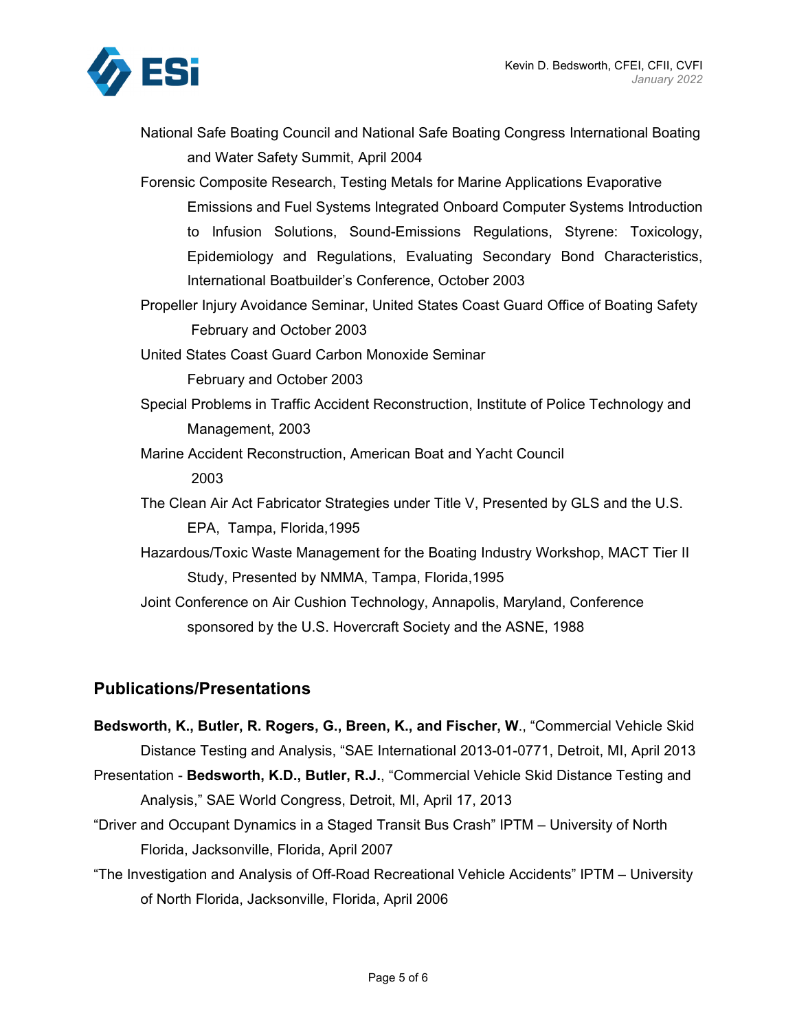

National Safe Boating Council and National Safe Boating Congress International Boating and Water Safety Summit, April 2004

Forensic Composite Research, Testing Metals for Marine Applications Evaporative Emissions and Fuel Systems Integrated Onboard Computer Systems Introduction to Infusion Solutions, Sound-Emissions Regulations, Styrene: Toxicology, Epidemiology and Regulations, Evaluating Secondary Bond Characteristics, International Boatbuilder's Conference, October 2003

Propeller Injury Avoidance Seminar, United States Coast Guard Office of Boating Safety February and October 2003

United States Coast Guard Carbon Monoxide Seminar February and October 2003

- Special Problems in Traffic Accident Reconstruction, Institute of Police Technology and Management, 2003
- Marine Accident Reconstruction, American Boat and Yacht Council 2003
- The Clean Air Act Fabricator Strategies under Title V, Presented by GLS and the U.S. EPA, Tampa, Florida,1995
- Hazardous/Toxic Waste Management for the Boating Industry Workshop, MACT Tier II Study, Presented by NMMA, Tampa, Florida,1995
- Joint Conference on Air Cushion Technology, Annapolis, Maryland, Conference sponsored by the U.S. Hovercraft Society and the ASNE, 1988

## **Publications/Presentations**

- **Bedsworth, K., Butler, R. Rogers, G., Breen, K., and Fischer, W**., "Commercial Vehicle Skid Distance Testing and Analysis, "SAE International 2013-01-0771, Detroit, MI, April 2013
- Presentation **Bedsworth, K.D., Butler, R.J.**, "Commercial Vehicle Skid Distance Testing and Analysis," SAE World Congress, Detroit, MI, April 17, 2013
- "Driver and Occupant Dynamics in a Staged Transit Bus Crash" IPTM University of North Florida, Jacksonville, Florida, April 2007
- "The Investigation and Analysis of Off-Road Recreational Vehicle Accidents" IPTM University of North Florida, Jacksonville, Florida, April 2006